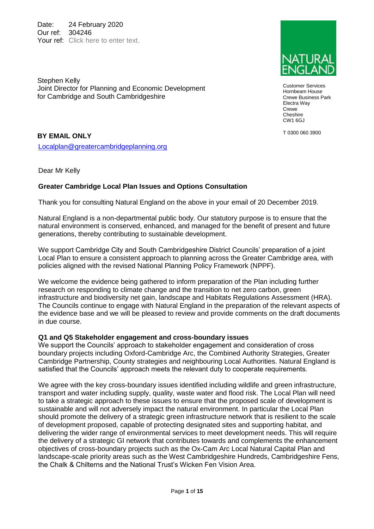Date: 24 February 2020 Our ref: 304246 Your ref: Click here to enter text.

Stephen Kelly Joint Director for Planning and Economic Development for Cambridge and South Cambridgeshire



Customer Services Hornbeam House Crewe Business Park Electra Way Crewe Cheshire CW1 6GJ

T 0300 060 3900

## **BY EMAIL ONLY**

[Localplan@greatercambridgeplanning.org](mailto:Localplan@greatercambridgeplanning.org)

Dear Mr Kelly

## **Greater Cambridge Local Plan Issues and Options Consultation**

Thank you for consulting Natural England on the above in your email of 20 December 2019.

Natural England is a non-departmental public body. Our statutory purpose is to ensure that the natural environment is conserved, enhanced, and managed for the benefit of present and future generations, thereby contributing to sustainable development.

We support Cambridge City and South Cambridgeshire District Councils' preparation of a joint Local Plan to ensure a consistent approach to planning across the Greater Cambridge area, with policies aligned with the revised National Planning Policy Framework (NPPF).

We welcome the evidence being gathered to inform preparation of the Plan including further research on responding to climate change and the transition to net zero carbon, green infrastructure and biodiversity net gain, landscape and Habitats Regulations Assessment (HRA). The Councils continue to engage with Natural England in the preparation of the relevant aspects of the evidence base and we will be pleased to review and provide comments on the draft documents in due course.

### **Q1 and Q5 Stakeholder engagement and cross-boundary issues**

We support the Councils' approach to stakeholder engagement and consideration of cross boundary projects including Oxford-Cambridge Arc, the Combined Authority Strategies, Greater Cambridge Partnership, County strategies and neighbouring Local Authorities. Natural England is satisfied that the Councils' approach meets the relevant duty to cooperate requirements.

We agree with the key cross-boundary issues identified including wildlife and green infrastructure, transport and water including supply, quality, waste water and flood risk. The Local Plan will need to take a strategic approach to these issues to ensure that the proposed scale of development is sustainable and will not adversely impact the natural environment. In particular the Local Plan should promote the delivery of a strategic green infrastructure network that is resilient to the scale of development proposed, capable of protecting designated sites and supporting habitat, and delivering the wider range of environmental services to meet development needs. This will require the delivery of a strategic GI network that contributes towards and complements the enhancement objectives of cross-boundary projects such as the Ox-Cam Arc Local Natural Capital Plan and landscape-scale priority areas such as the West Cambridgeshire Hundreds, Cambridgeshire Fens, the Chalk & Chilterns and the National Trust's Wicken Fen Vision Area.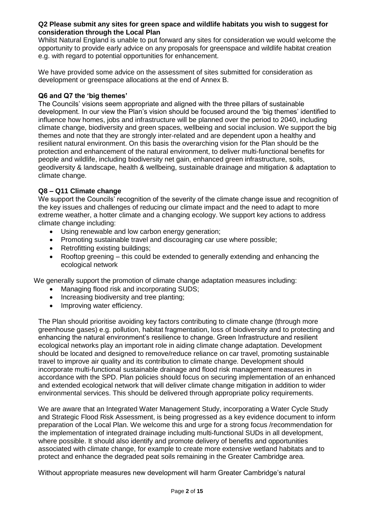#### **Q2 Please submit any sites for green space and wildlife habitats you wish to suggest for consideration through the Local Plan**

Whilst Natural England is unable to put forward any sites for consideration we would welcome the opportunity to provide early advice on any proposals for greenspace and wildlife habitat creation e.g. with regard to potential opportunities for enhancement.

We have provided some advice on the assessment of sites submitted for consideration as development or greenspace allocations at the end of Annex B.

### **Q6 and Q7 the 'big themes'**

The Councils' visions seem appropriate and aligned with the three pillars of sustainable development. In our view the Plan's vision should be focused around the 'big themes' identified to influence how homes, jobs and infrastructure will be planned over the period to 2040, including climate change, biodiversity and green spaces, wellbeing and social inclusion. We support the big themes and note that they are strongly inter-related and are dependent upon a healthy and resilient natural environment. On this basis the overarching vision for the Plan should be the protection and enhancement of the natural environment, to deliver multi-functional benefits for people and wildlife, including biodiversity net gain, enhanced green infrastructure, soils, geodiversity & landscape, health & wellbeing, sustainable drainage and mitigation & adaptation to climate change.

## **Q8 – Q11 Climate change**

We support the Councils' recognition of the severity of the climate change issue and recognition of the key issues and challenges of reducing our climate impact and the need to adapt to more extreme weather, a hotter climate and a changing ecology. We support key actions to address climate change including:

- Using renewable and low carbon energy generation;
- Promoting sustainable travel and discouraging car use where possible;
- Retrofitting existing buildings;
- Rooftop greening this could be extended to generally extending and enhancing the ecological network

We generally support the promotion of climate change adaptation measures including:

- Managing flood risk and incorporating SUDS;
- Increasing biodiversity and tree planting:
- Improving water efficiency.

The Plan should prioritise avoiding key factors contributing to climate change (through more greenhouse gases) e.g. pollution, habitat fragmentation, loss of biodiversity and to protecting and enhancing the natural environment's resilience to change. Green Infrastructure and resilient ecological networks play an important role in aiding climate change adaptation. Development should be located and designed to remove/reduce reliance on car travel, promoting sustainable travel to improve air quality and its contribution to climate change. Development should incorporate multi-functional sustainable drainage and flood risk management measures in accordance with the SPD. Plan policies should focus on securing implementation of an enhanced and extended ecological network that will deliver climate change mitigation in addition to wider environmental services. This should be delivered through appropriate policy requirements.

We are aware that an Integrated Water Management Study, incorporating a Water Cycle Study and Strategic Flood Risk Assessment, is being progressed as a key evidence document to inform preparation of the Local Plan. We welcome this and urge for a strong focus /recommendation for the implementation of integrated drainage including multi-functional SUDs in all development, where possible. It should also identify and promote delivery of benefits and opportunities associated with climate change, for example to create more extensive wetland habitats and to protect and enhance the degraded peat soils remaining in the Greater Cambridge area.

Without appropriate measures new development will harm Greater Cambridge's natural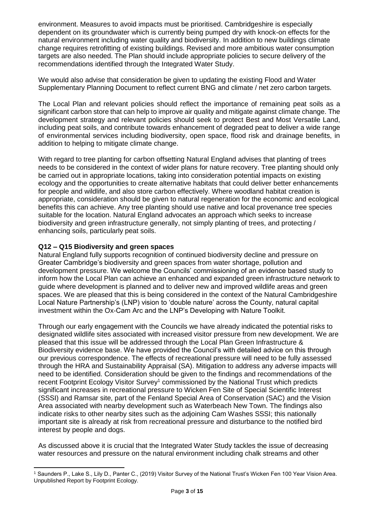environment. Measures to avoid impacts must be prioritised. Cambridgeshire is especially dependent on its groundwater which is currently being pumped dry with knock-on effects for the natural environment including water quality and biodiversity. In addition to new buildings climate change requires retrofitting of existing buildings. Revised and more ambitious water consumption targets are also needed. The Plan should include appropriate policies to secure delivery of the recommendations identified through the Integrated Water Study.

We would also advise that consideration be given to updating the existing Flood and Water Supplementary Planning Document to reflect current BNG and climate / net zero carbon targets.

The Local Plan and relevant policies should reflect the importance of remaining peat soils as a significant carbon store that can help to improve air quality and mitigate against climate change. The development strategy and relevant policies should seek to protect Best and Most Versatile Land, including peat soils, and contribute towards enhancement of degraded peat to deliver a wide range of environmental services including biodiversity, open space, flood risk and drainage benefits, in addition to helping to mitigate climate change.

With regard to tree planting for carbon offsetting Natural England advises that planting of trees needs to be considered in the context of wider plans for nature recovery. Tree planting should only be carried out in appropriate locations, taking into consideration potential impacts on existing ecology and the opportunities to create alternative habitats that could deliver better enhancements for people and wildlife, and also store carbon effectively. Where woodland habitat creation is appropriate, consideration should be given to natural regeneration for the economic and ecological benefits this can achieve. Any tree planting should use native and local provenance tree species suitable for the location. Natural England advocates an approach which seeks to increase biodiversity and green infrastructure generally, not simply planting of trees, and protecting / enhancing soils, particularly peat soils.

## **Q12 – Q15 Biodiversity and green spaces**

Natural England fully supports recognition of continued biodiversity decline and pressure on Greater Cambridge's biodiversity and green spaces from water shortage, pollution and development pressure. We welcome the Councils' commissioning of an evidence based study to inform how the Local Plan can achieve an enhanced and expanded green infrastructure network to guide where development is planned and to deliver new and improved wildlife areas and green spaces. We are pleased that this is being considered in the context of the Natural Cambridgeshire Local Nature Partnership's (LNP) vision to 'double nature' across the County, natural capital investment within the Ox-Cam Arc and the LNP's Developing with Nature Toolkit.

Through our early engagement with the Councils we have already indicated the potential risks to designated wildlife sites associated with increased visitor pressure from new development. We are pleased that this issue will be addressed through the Local Plan Green Infrastructure & Biodiversity evidence base. We have provided the Council's with detailed advice on this through our previous correspondence. The effects of recreational pressure will need to be fully assessed through the HRA and Sustainability Appraisal (SA). Mitigation to address any adverse impacts will need to be identified. Consideration should be given to the findings and recommendations of the recent Footprint Ecology Visitor Survey<sup>1</sup> commissioned by the National Trust which predicts significant increases in recreational pressure to Wicken Fen Site of Special Scientific Interest (SSSI) and Ramsar site, part of the Fenland Special Area of Conservation (SAC) and the Vision Area associated with nearby development such as Waterbeach New Town. The findings also indicate risks to other nearby sites such as the adjoining Cam Washes SSSI; this nationally important site is already at risk from recreational pressure and disturbance to the notified bird interest by people and dogs.

As discussed above it is crucial that the Integrated Water Study tackles the issue of decreasing water resources and pressure on the natural environment including chalk streams and other

<sup>1</sup> Saunders P., Lake S., Lily D., Panter C., (2019) Visitor Survey of the National Trust's Wicken Fen 100 Year Vision Area. Unpublished Report by Footprint Ecology.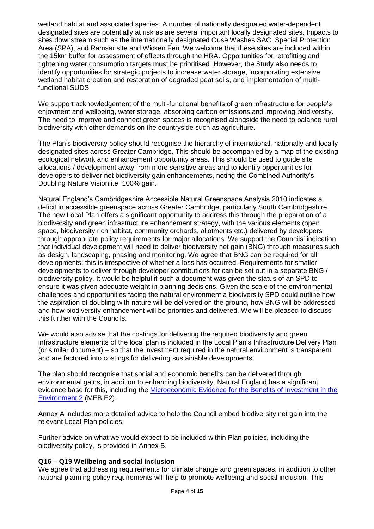wetland habitat and associated species. A number of nationally designated water-dependent designated sites are potentially at risk as are several important locally designated sites. Impacts to sites downstream such as the internationally designated Ouse Washes SAC, Special Protection Area (SPA), and Ramsar site and Wicken Fen. We welcome that these sites are included within the 15km buffer for assessment of effects through the HRA. Opportunities for retrofitting and tightening water consumption targets must be prioritised. However, the Study also needs to identify opportunities for strategic projects to increase water storage, incorporating extensive wetland habitat creation and restoration of degraded peat soils, and implementation of multifunctional SUDS.

We support acknowledgement of the multi-functional benefits of green infrastructure for people's enjoyment and wellbeing, water storage, absorbing carbon emissions and improving biodiversity. The need to improve and connect green spaces is recognised alongside the need to balance rural biodiversity with other demands on the countryside such as agriculture.

The Plan's biodiversity policy should recognise the hierarchy of international, nationally and locally designated sites across Greater Cambridge. This should be accompanied by a map of the existing ecological network and enhancement opportunity areas. This should be used to guide site allocations / development away from more sensitive areas and to identify opportunities for developers to deliver net biodiversity gain enhancements, noting the Combined Authority's Doubling Nature Vision i.e. 100% gain.

Natural England's Cambridgeshire Accessible Natural Greenspace Analysis 2010 indicates a deficit in accessible greenspace across Greater Cambridge, particularly South Cambridgeshire. The new Local Plan offers a significant opportunity to address this through the preparation of a biodiversity and green infrastructure enhancement strategy, with the various elements (open space, biodiversity rich habitat, community orchards, allotments etc.) delivered by developers through appropriate policy requirements for major allocations. We support the Councils' indication that individual development will need to deliver biodiversity net gain (BNG) through measures such as design, landscaping, phasing and monitoring. We agree that BNG can be required for all developments; this is irrespective of whether a loss has occurred. Requirements for smaller developments to deliver through developer contributions for can be set out in a separate BNG / biodiversity policy. It would be helpful if such a document was given the status of an SPD to ensure it was given adequate weight in planning decisions. Given the scale of the environmental challenges and opportunities facing the natural environment a biodiversity SPD could outline how the aspiration of doubling with nature will be delivered on the ground, how BNG will be addressed and how biodiversity enhancement will be priorities and delivered. We will be pleased to discuss this further with the Councils.

We would also advise that the costings for delivering the required biodiversity and green infrastructure elements of the local plan is included in the Local Plan's Infrastructure Delivery Plan (or similar document) – so that the investment required in the natural environment is transparent and are factored into costings for delivering sustainable developments.

The plan should recognise that social and economic benefits can be delivered through environmental gains, in addition to enhancing biodiversity. Natural England has a significant evidence base for this, including the [Microeconomic Evidence for the Benefits of Investment in the](http://publications.naturalengland.org.uk/publication/6692039286587392)  [Environment 2](http://publications.naturalengland.org.uk/publication/6692039286587392) (MEBIE2).

Annex A includes more detailed advice to help the Council embed biodiversity net gain into the relevant Local Plan policies.

Further advice on what we would expect to be included within Plan policies, including the biodiversity policy, is provided in Annex B.

### **Q16 – Q19 Wellbeing and social inclusion**

We agree that addressing requirements for climate change and green spaces, in addition to other national planning policy requirements will help to promote wellbeing and social inclusion. This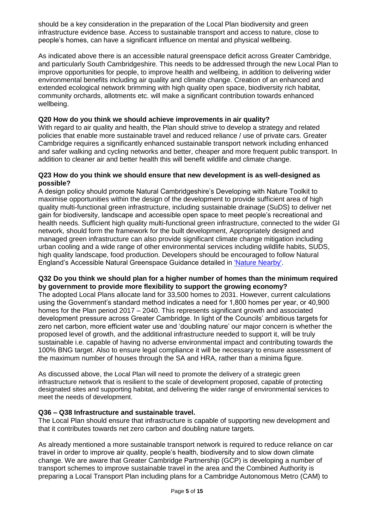should be a key consideration in the preparation of the Local Plan biodiversity and green infrastructure evidence base. Access to sustainable transport and access to nature, close to people's homes, can have a significant influence on mental and physical wellbeing.

As indicated above there is an accessible natural greenspace deficit across Greater Cambridge, and particularly South Cambridgeshire. This needs to be addressed through the new Local Plan to improve opportunities for people, to improve health and wellbeing, in addition to delivering wider environmental benefits including air quality and climate change. Creation of an enhanced and extended ecological network brimming with high quality open space, biodiversity rich habitat, community orchards, allotments etc. will make a significant contribution towards enhanced wellbeing.

### **Q20 How do you think we should achieve improvements in air quality?**

With regard to air quality and health, the Plan should strive to develop a strategy and related policies that enable more sustainable travel and reduced reliance / use of private cars. Greater Cambridge requires a significantly enhanced sustainable transport network including enhanced and safer walking and cycling networks and better, cheaper and more frequent public transport. In addition to cleaner air and better health this will benefit wildlife and climate change.

### **Q23 How do you think we should ensure that new development is as well-designed as possible?**

A design policy should promote Natural Cambridgeshire's Developing with Nature Toolkit to maximise opportunities within the design of the development to provide sufficient area of high quality multi-functional green infrastructure, including sustainable drainage (SuDS) to deliver net gain for biodiversity, landscape and accessible open space to meet people's recreational and health needs. Sufficient high quality multi-functional green infrastructure, connected to the wider GI network, should form the framework for the built development, Appropriately designed and managed green infrastructure can also provide significant climate change mitigation including urban cooling and a wide range of other environmental services including wildlife habits, SUDS, high quality landscape, food production. Developers should be encouraged to follow Natural England's Accessible Natural Greenspace Guidance detailed in ['Nature Nearby'.](https://webarchive.nationalarchives.gov.uk/20140605145320/http:/publications.naturalengland.org.uk/publication/40004?category=47004)

### **Q32 Do you think we should plan for a higher number of homes than the minimum required by government to provide more flexibility to support the growing economy?**

The adopted Local Plans allocate land for 33,500 homes to 2031. However, current calculations using the Government's standard method indicates a need for 1,800 homes per year, or 40,900 homes for the Plan period 2017 – 2040. This represents significant growth and associated development pressure across Greater Cambridge. In light of the Councils' ambitious targets for zero net carbon, more efficient water use and 'doubling nature' our major concern is whether the proposed level of growth, and the additional infrastructure needed to support it, will be truly sustainable i.e. capable of having no adverse environmental impact and contributing towards the 100% BNG target. Also to ensure legal compliance it will be necessary to ensure assessment of the maximum number of houses through the SA and HRA, rather than a minima figure.

As discussed above, the Local Plan will need to promote the delivery of a strategic green infrastructure network that is resilient to the scale of development proposed, capable of protecting designated sites and supporting habitat, and delivering the wider range of environmental services to meet the needs of development.

### **Q36 – Q38 Infrastructure and sustainable travel.**

The Local Plan should ensure that infrastructure is capable of supporting new development and that it contributes towards net zero carbon and doubling nature targets.

As already mentioned a more sustainable transport network is required to reduce reliance on car travel in order to improve air quality, people's health, biodiversity and to slow down climate change. We are aware that Greater Cambridge Partnership (GCP) is developing a number of transport schemes to improve sustainable travel in the area and the Combined Authority is preparing a Local Transport Plan including plans for a Cambridge Autonomous Metro (CAM) to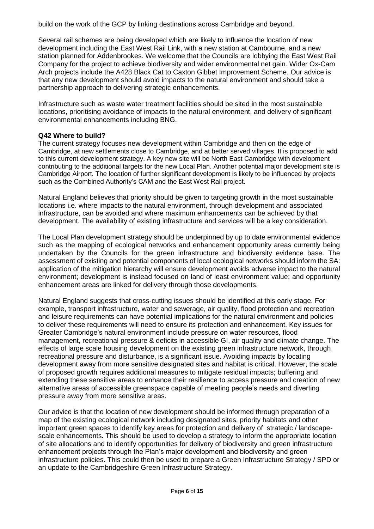build on the work of the GCP by linking destinations across Cambridge and beyond.

Several rail schemes are being developed which are likely to influence the location of new development including the East West Rail Link, with a new station at Cambourne, and a new station planned for Addenbrookes. We welcome that the Councils are lobbying the East West Rail Company for the project to achieve biodiversity and wider environmental net gain. Wider Ox-Cam Arch projects include the A428 Black Cat to Caxton Gibbet Improvement Scheme. Our advice is that any new development should avoid impacts to the natural environment and should take a partnership approach to delivering strategic enhancements.

Infrastructure such as waste water treatment facilities should be sited in the most sustainable locations, prioritising avoidance of impacts to the natural environment, and delivery of significant environmental enhancements including BNG.

## **Q42 Where to build?**

The current strategy focuses new development within Cambridge and then on the edge of Cambridge, at new settlements close to Cambridge, and at better served villages. It is proposed to add to this current development strategy. A key new site will be North East Cambridge with development contributing to the additional targets for the new Local Plan. Another potential major development site is Cambridge Airport. The location of further significant development is likely to be influenced by projects such as the Combined Authority's CAM and the East West Rail project.

Natural England believes that priority should be given to targeting growth in the most sustainable locations i.e. where impacts to the natural environment, through development and associated infrastructure, can be avoided and where maximum enhancements can be achieved by that development. The availability of existing infrastructure and services will be a key consideration.

The Local Plan development strategy should be underpinned by up to date environmental evidence such as the mapping of ecological networks and enhancement opportunity areas currently being undertaken by the Councils for the green infrastructure and biodiversity evidence base. The assessment of existing and potential components of local ecological networks should inform the SA: application of the mitigation hierarchy will ensure development avoids adverse impact to the natural environment; development is instead focused on land of least environment value; and opportunity enhancement areas are linked for delivery through those developments.

Natural England suggests that cross-cutting issues should be identified at this early stage. For example, transport infrastructure, water and sewerage, air quality, flood protection and recreation and leisure requirements can have potential implications for the natural environment and policies to deliver these requirements will need to ensure its protection and enhancement. Key issues for Greater Cambridge's natural environment include pressure on water resources, flood management, recreational pressure & deficits in accessible GI, air quality and climate change. The effects of large scale housing development on the existing green infrastructure network, through recreational pressure and disturbance, is a significant issue. Avoiding impacts by locating development away from more sensitive designated sites and habitat is critical. However, the scale of proposed growth requires additional measures to mitigate residual impacts; buffering and extending these sensitive areas to enhance their resilience to access pressure and creation of new alternative areas of accessible greenspace capable of meeting people's needs and diverting pressure away from more sensitive areas.

Our advice is that the location of new development should be informed through preparation of a map of the existing ecological network including designated sites, priority habitats and other important green spaces to identify key areas for protection and delivery of strategic / landscapescale enhancements. This should be used to develop a strategy to inform the appropriate location of site allocations and to identify opportunities for delivery of biodiversity and green infrastructure enhancement projects through the Plan's major development and biodiversity and green infrastructure policies. This could then be used to prepare a Green Infrastructure Strategy / SPD or an update to the Cambridgeshire Green Infrastructure Strategy.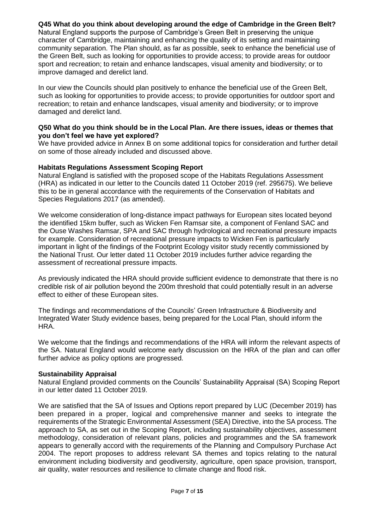## **Q45 What do you think about developing around the edge of Cambridge in the Green Belt?**

Natural England supports the purpose of Cambridge's Green Belt in preserving the unique character of Cambridge, maintaining and enhancing the quality of its setting and maintaining community separation. The Plan should, as far as possible, seek to enhance the beneficial use of the Green Belt, such as looking for opportunities to provide access; to provide areas for outdoor sport and recreation; to retain and enhance landscapes, visual amenity and biodiversity; or to improve damaged and derelict land.

In our view the Councils should plan positively to enhance the beneficial use of the Green Belt, such as looking for opportunities to provide access; to provide opportunities for outdoor sport and recreation; to retain and enhance landscapes, visual amenity and biodiversity; or to improve damaged and derelict land.

#### **Q50 What do you think should be in the Local Plan. Are there issues, ideas or themes that you don't feel we have yet explored?**

We have provided advice in Annex B on some additional topics for consideration and further detail on some of those already included and discussed above.

#### **Habitats Regulations Assessment Scoping Report**

Natural England is satisfied with the proposed scope of the Habitats Regulations Assessment (HRA) as indicated in our letter to the Councils dated 11 October 2019 (ref. 295675). We believe this to be in general accordance with the requirements of the Conservation of Habitats and Species Regulations 2017 (as amended).

We welcome consideration of long-distance impact pathways for European sites located beyond the identified 15km buffer, such as Wicken Fen Ramsar site, a component of Fenland SAC and the Ouse Washes Ramsar, SPA and SAC through hydrological and recreational pressure impacts for example. Consideration of recreational pressure impacts to Wicken Fen is particularly important in light of the findings of the Footprint Ecology visitor study recently commissioned by the National Trust. Our letter dated 11 October 2019 includes further advice regarding the assessment of recreational pressure impacts.

As previously indicated the HRA should provide sufficient evidence to demonstrate that there is no credible risk of air pollution beyond the 200m threshold that could potentially result in an adverse effect to either of these European sites.

The findings and recommendations of the Councils' Green Infrastructure & Biodiversity and Integrated Water Study evidence bases, being prepared for the Local Plan, should inform the HRA.

We welcome that the findings and recommendations of the HRA will inform the relevant aspects of the SA. Natural England would welcome early discussion on the HRA of the plan and can offer further advice as policy options are progressed.

#### **Sustainability Appraisal**

Natural England provided comments on the Councils' Sustainability Appraisal (SA) Scoping Report in our letter dated 11 October 2019.

We are satisfied that the SA of Issues and Options report prepared by LUC (December 2019) has been prepared in a proper, logical and comprehensive manner and seeks to integrate the requirements of the Strategic Environmental Assessment (SEA) Directive, into the SA process. The approach to SA, as set out in the Scoping Report, including sustainability objectives, assessment methodology, consideration of relevant plans, policies and programmes and the SA framework appears to generally accord with the requirements of the Planning and Compulsory Purchase Act 2004. The report proposes to address relevant SA themes and topics relating to the natural environment including biodiversity and geodiversity, agriculture, open space provision, transport, air quality, water resources and resilience to climate change and flood risk.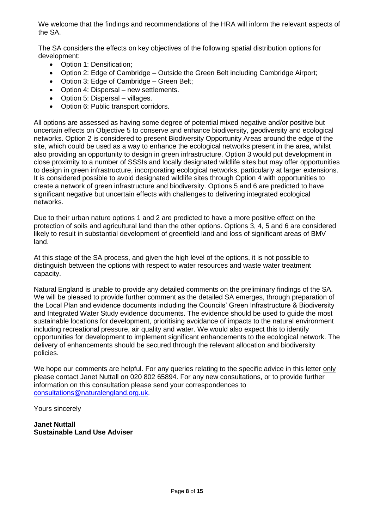We welcome that the findings and recommendations of the HRA will inform the relevant aspects of the SA.

The SA considers the effects on key objectives of the following spatial distribution options for development:

- Option 1: Densification;
- Option 2: Edge of Cambridge Outside the Green Belt including Cambridge Airport;
- Option 3: Edge of Cambridge Green Belt;
- Option 4: Dispersal new settlements.
- Option 5: Dispersal villages.
- Option 6: Public transport corridors.

All options are assessed as having some degree of potential mixed negative and/or positive but uncertain effects on Objective 5 to conserve and enhance biodiversity, geodiversity and ecological networks. Option 2 is considered to present Biodiversity Opportunity Areas around the edge of the site, which could be used as a way to enhance the ecological networks present in the area, whilst also providing an opportunity to design in green infrastructure. Option 3 would put development in close proximity to a number of SSSIs and locally designated wildlife sites but may offer opportunities to design in green infrastructure, incorporating ecological networks, particularly at larger extensions. It is considered possible to avoid designated wildlife sites through Option 4 with opportunities to create a network of green infrastructure and biodiversity. Options 5 and 6 are predicted to have significant negative but uncertain effects with challenges to delivering integrated ecological networks.

Due to their urban nature options 1 and 2 are predicted to have a more positive effect on the protection of soils and agricultural land than the other options. Options 3, 4, 5 and 6 are considered likely to result in substantial development of greenfield land and loss of significant areas of BMV land.

At this stage of the SA process, and given the high level of the options, it is not possible to distinguish between the options with respect to water resources and waste water treatment capacity.

Natural England is unable to provide any detailed comments on the preliminary findings of the SA. We will be pleased to provide further comment as the detailed SA emerges, through preparation of the Local Plan and evidence documents including the Councils' Green Infrastructure & Biodiversity and Integrated Water Study evidence documents. The evidence should be used to guide the most sustainable locations for development, prioritising avoidance of impacts to the natural environment including recreational pressure, air quality and water. We would also expect this to identify opportunities for development to implement significant enhancements to the ecological network. The delivery of enhancements should be secured through the relevant allocation and biodiversity policies.

We hope our comments are helpful. For any queries relating to the specific advice in this letter only please contact Janet Nuttall on 020 802 65894. For any new consultations, or to provide further information on this consultation please send your correspondences to [consultations@naturalengland.org.uk.](mailto:consultations@naturalengland.org.uk)

Yours sincerely

**Janet Nuttall Sustainable Land Use Adviser**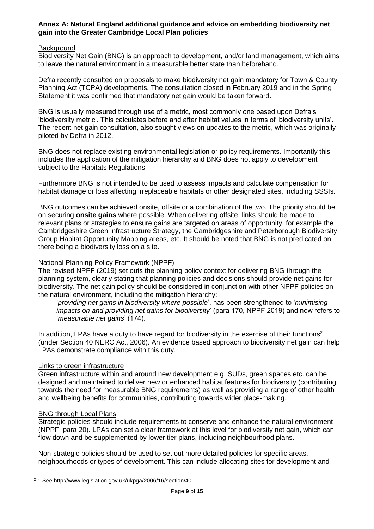#### **Annex A: Natural England additional guidance and advice on embedding biodiversity net gain into the Greater Cambridge Local Plan policies**

#### **Background**

Biodiversity Net Gain (BNG) is an approach to development, and/or land management, which aims to leave the natural environment in a measurable better state than beforehand.

Defra recently consulted on proposals to make biodiversity net gain mandatory for Town & County Planning Act (TCPA) developments. The consultation closed in February 2019 and in the Spring Statement it was confirmed that mandatory net gain would be taken forward.

BNG is usually measured through use of a metric, most commonly one based upon Defra's 'biodiversity metric'. This calculates before and after habitat values in terms of 'biodiversity units'. The recent net gain consultation, also sought views on updates to the metric, which was originally piloted by Defra in 2012.

BNG does not replace existing environmental legislation or policy requirements. Importantly this includes the application of the mitigation hierarchy and BNG does not apply to development subject to the Habitats Regulations.

Furthermore BNG is not intended to be used to assess impacts and calculate compensation for habitat damage or loss affecting irreplaceable habitats or other designated sites, including SSSIs.

BNG outcomes can be achieved onsite, offsite or a combination of the two. The priority should be on securing **onsite gains** where possible. When delivering offsite, links should be made to relevant plans or strategies to ensure gains are targeted on areas of opportunity, for example the Cambridgeshire Green Infrastructure Strategy, the Cambridgeshire and Peterborough Biodiversity Group Habitat Opportunity Mapping areas, etc. It should be noted that BNG is not predicated on there being a biodiversity loss on a site.

#### National Planning Policy Framework (NPPF)

The revised NPPF (2019) set outs the planning policy context for delivering BNG through the planning system, clearly stating that planning policies and decisions should provide net gains for biodiversity. The net gain policy should be considered in conjunction with other NPPF policies on the natural environment, including the mitigation hierarchy:

'*providing net gains in biodiversity where possible*', has been strengthened to '*minimising impacts on and providing net gains for biodiversity*' (para 170, NPPF 2019) and now refers to '*measurable net gains*' (174).

In addition, LPAs have a duty to have regard for biodiversity in the exercise of their functions<sup>2</sup> (under Section 40 NERC Act, 2006). An evidence based approach to biodiversity net gain can help LPAs demonstrate compliance with this duty.

### Links to green infrastructure

Green infrastructure within and around new development e.g. SUDs, green spaces etc. can be designed and maintained to deliver new or enhanced habitat features for biodiversity (contributing towards the need for measurable BNG requirements) as well as providing a range of other health and wellbeing benefits for communities, contributing towards wider place-making.

#### BNG through Local Plans

Strategic policies should include requirements to conserve and enhance the natural environment (NPPF, para 20). LPAs can set a clear framework at this level for biodiversity net gain, which can flow down and be supplemented by lower tier plans, including neighbourhood plans.

Non-strategic policies should be used to set out more detailed policies for specific areas, neighbourhoods or types of development. This can include allocating sites for development and

<sup>2</sup> 1 See http://www.legislation.gov.uk/ukpga/2006/16/section/40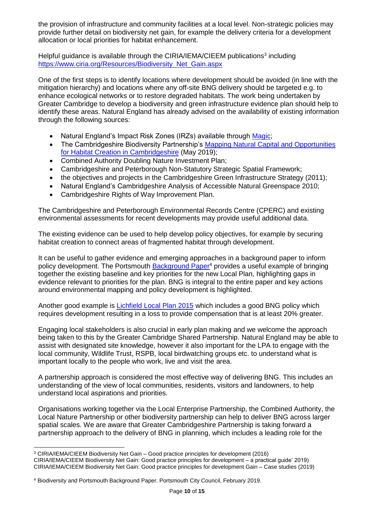the provision of infrastructure and community facilities at a local level. Non-strategic policies may provide further detail on biodiversity net gain, for example the delivery criteria for a development allocation or local priorities for habitat enhancement.

Helpful guidance is available through the CIRIA/IEMA/CIEEM publications<sup>3</sup> including [https://www.ciria.org/Resources/Biodiversity\\_Net\\_Gain.aspx](https://www.ciria.org/Resources/Biodiversity_Net_Gain.aspx)

One of the first steps is to identify locations where development should be avoided (in line with the mitigation hierarchy) and locations where any off-site BNG delivery should be targeted e.g. to enhance ecological networks or to restore degraded habitats. The work being undertaken by Greater Cambridge to develop a biodiversity and green infrastructure evidence plan should help to identify these areas. Natural England has already advised on the availability of existing information through the following sources:

- Natural England's Impact Risk Zones (IRZs) available through [Magic;](https://magic.defra.gov.uk/MagicMap.aspx)
- The Cambridgeshire Biodiversity Partnership's Mapping Natural Capital and Opportunities [for Habitat Creation in Cambridgeshire](http://www.cpbiodiversity.org.uk/wp-content/uploads/2018/08/Cambridgeshire-habitat-mapping-final-report-FINAL.pdf) (May 2019);
- Combined Authority Doubling Nature Investment Plan;
- Cambridgeshire and Peterborough Non-Statutory Strategic Spatial Framework;
- the objectives and projects in the Cambridgeshire Green Infrastructure Strategy (2011);
- Natural England's Cambridgeshire Analysis of Accessible Natural Greenspace 2010;
- Cambridgeshire Rights of Way Improvement Plan.

The Cambridgeshire and Peterborough Environmental Records Centre (CPERC) and existing environmental assessments for recent developments may provide useful additional data.

The existing evidence can be used to help develop policy objectives, for example by securing habitat creation to connect areas of fragmented habitat through development.

It can be useful to gather evidence and emerging approaches in a background paper to inform policy development. The Portsmouth [Background Paper](https://www.portsmouth.gov.uk/ext/documents-external/pln-local-plan-biodiversity-background-paper-final-draft-feb-2019.pdf)<sup>4</sup> provides a useful example of bringing together the existing baseline and key priorities for the new Local Plan, highlighting gaps in evidence relevant to priorities for the plan. BNG is integral to the entire paper and key actions around environmental mapping and policy development is highlighted.

Another good example is [Lichfield Local Plan 2015](https://www.lichfielddc.gov.uk/local-plan/local-plan-strategy/1) which includes a good BNG policy which requires development resulting in a loss to provide compensation that is at least 20% greater.

Engaging local stakeholders is also crucial in early plan making and we welcome the approach being taken to this by the Greater Cambridge Shared Partnership. Natural England may be able to assist with designated site knowledge, however it also important for the LPA to engage with the local community, Wildlife Trust, RSPB, local birdwatching groups etc. to understand what is important locally to the people who work, live and visit the area.

A partnership approach is considered the most effective way of delivering BNG. This includes an understanding of the view of local communities, residents, visitors and landowners, to help understand local aspirations and priorities.

Organisations working together via the Local Enterprise Partnership, the Combined Authority, the Local Nature Partnership or other biodiversity partnership can help to deliver BNG across larger spatial scales. We are aware that Greater Cambridgeshire Partnership is taking forward a partnership approach to the delivery of BNG in planning, which includes a leading role for the

 $\overline{a}$ 

<sup>3</sup> CIRIA/IEMA/CIEEM Biodiversity Net Gain – Good practice principles for development (2016) CIRIA/IEMA/CIEEM Biodiversity Net Gain: Good practice principles for development – a practical guide' 2019) CIRIA/IEMA/CIEEM Biodiversity Net Gain: Good practice principles for development Gain – Case studies (2019)

<sup>4</sup> Biodiversity and Portsmouth Background Paper. Portsmouth City Council, February 2019.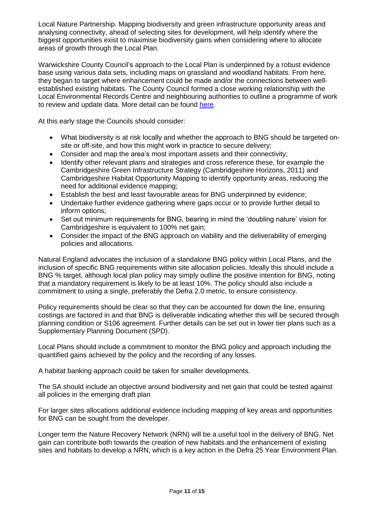Local Nature Partnership. Mapping biodiversity and green infrastructure opportunity areas and analysing connectivity, ahead of selecting sites for development, will help identify where the biggest opportunities exist to maximise biodiversity gains when considering where to allocate areas of growth through the Local Plan.

Warwickshire County Council's approach to the Local Plan is underpinned by a robust evidence base using various data sets, including maps on grassland and woodland habitats. From here, they began to target where enhancement could be made and/or the connections between wellestablished existing habitats. The County Council formed a close working relationship with the Local Environmental Records Centre and neighbouring authorities to outline a programme of work to review and update data. More detail can be found [here.](https://naturalengland.blog.gov.uk/2019/02/08/implementing-biodiversity-net-gain-in-warwickshire/)

At this early stage the Councils should consider:

- What biodiversity is at risk locally and whether the approach to BNG should be targeted onsite or off-site, and how this might work in practice to secure delivery;
- Consider and map the area's most important assets and their connectivity;
- Identify other relevant plans and strategies and cross reference these, for example the Cambridgeshire Green Infrastructure Strategy (Cambridgeshire Horizons, 2011) and Cambridgeshire Habitat Opportunity Mapping to identify opportunity areas, reducing the need for additional evidence mapping;
- Establish the best and least favourable areas for BNG underpinned by evidence;
- Undertake further evidence gathering where gaps occur or to provide further detail to inform options;
- Set out minimum requirements for BNG, bearing in mind the 'doubling nature' vision for Cambridgeshire is equivalent to 100% net gain;
- Consider the impact of the BNG approach on viability and the deliverability of emerging policies and allocations.

Natural England advocates the inclusion of a standalone BNG policy within Local Plans, and the inclusion of specific BNG requirements within site allocation policies. Ideally this should include a BNG % target, although local plan policy may simply outline the positive intention for BNG, noting that a mandatory requirement is likely to be at least 10%. The policy should also include a commitment to using a single, preferably the Defra 2.0 metric, to ensure consistency.

Policy requirements should be clear so that they can be accounted for down the line, ensuring costings are factored in and that BNG is deliverable indicating whether this will be secured through planning condition or S106 agreement. Further details can be set out in lower tier plans such as a Supplementary Planning Document (SPD).

Local Plans should include a commitment to monitor the BNG policy and approach including the quantified gains achieved by the policy and the recording of any losses.

A habitat banking approach could be taken for smaller developments.

The SA should include an objective around biodiversity and net gain that could be tested against all policies in the emerging draft plan

For larger sites allocations additional evidence including mapping of key areas and opportunities for BNG can be sought from the developer.

Longer term the Nature Recovery Network (NRN) will be a useful tool in the delivery of BNG. Net gain can contribute both towards the creation of new habitats and the enhancement of existing sites and habitats to develop a NRN, which is a key action in the Defra 25 Year Environment Plan.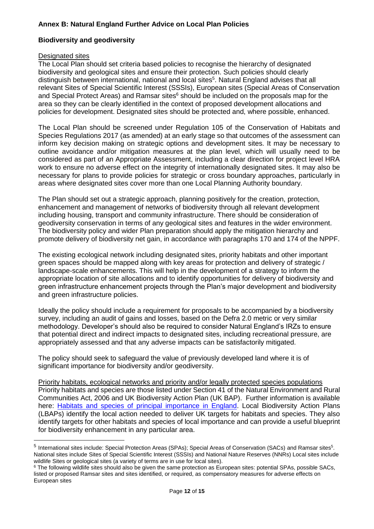# **Annex B: Natural England Further Advice on Local Plan Policies**

## **Biodiversity and geodiversity**

#### Designated sites

The Local Plan should set criteria based policies to recognise the hierarchy of designated biodiversity and geological sites and ensure their protection. Such policies should clearly distinguish between international, national and local sites<sup>5</sup>. Natural England advises that all relevant Sites of Special Scientific Interest (SSSIs), European sites (Special Areas of Conservation and Special Protect Areas) and Ramsar sites $6$  should be included on the proposals map for the area so they can be clearly identified in the context of proposed development allocations and policies for development. Designated sites should be protected and, where possible, enhanced.

The Local Plan should be screened under Regulation 105 of the Conservation of Habitats and Species Regulations 2017 (as amended) at an early stage so that outcomes of the assessment can inform key decision making on strategic options and development sites. It may be necessary to outline avoidance and/or mitigation measures at the plan level, which will usually need to be considered as part of an Appropriate Assessment, including a clear direction for project level HRA work to ensure no adverse effect on the integrity of internationally designated sites. It may also be necessary for plans to provide policies for strategic or cross boundary approaches, particularly in areas where designated sites cover more than one Local Planning Authority boundary.

The Plan should set out a strategic approach, planning positively for the creation, protection, enhancement and management of networks of biodiversity through all relevant development including housing, transport and community infrastructure. There should be consideration of geodiversity conservation in terms of any geological sites and features in the wider environment. The biodiversity policy and wider Plan preparation should apply the mitigation hierarchy and promote delivery of biodiversity net gain, in accordance with paragraphs 170 and 174 of the NPPF.

The existing ecological network including designated sites, priority habitats and other important green spaces should be mapped along with key areas for protection and delivery of strategic / landscape-scale enhancements. This will help in the development of a strategy to inform the appropriate location of site allocations and to identify opportunities for delivery of biodiversity and green infrastructure enhancement projects through the Plan's major development and biodiversity and green infrastructure policies.

Ideally the policy should include a requirement for proposals to be accompanied by a biodiversity survey, including an audit of gains and losses, based on the Defra 2.0 metric or very similar methodology. Developer's should also be required to consider Natural England's IRZs to ensure that potential direct and indirect impacts to designated sites, including recreational pressure, are appropriately assessed and that any adverse impacts can be satisfactorily mitigated.

The policy should seek to safeguard the value of previously developed land where it is of significant importance for biodiversity and/or geodiversity.

Priority habitats, ecological networks and priority and/or legally protected species populations Priority habitats and species are those listed under Section 41 of the Natural Environment and Rural Communities Act, 2006 and UK Biodiversity Action Plan (UK BAP). Further information is available here: [Habitats and species of principal importance in England.](http://webarchive.nationalarchives.gov.uk/20140711133551/http:/www.naturalengland.org.uk/ourwork/conservation/biodiversity/protectandmanage/habsandspeciesimportance.aspx) Local Biodiversity Action Plans (LBAPs) identify the local action needed to deliver UK targets for habitats and species. They also identify targets for other habitats and species of local importance and can provide a useful blueprint for biodiversity enhancement in any particular area.

<sup>&</sup>lt;sup>5</sup> International sites include: Special Protection Areas (SPAs); Special Areas of Conservation (SACs) and Ramsar sites<sup>5</sup>. National sites include Sites of Special Scientific Interest (SSSIs) and National Nature Reserves (NNRs) Local sites include wildlife Sites or geological sites (a variety of terms are in use for local sites).

<sup>&</sup>lt;sup>6</sup> The following wildlife sites should also be given the same protection as European sites: potential SPAs, possible SACs, listed or proposed Ramsar sites and sites identified, or required, as compensatory measures for adverse effects on European sites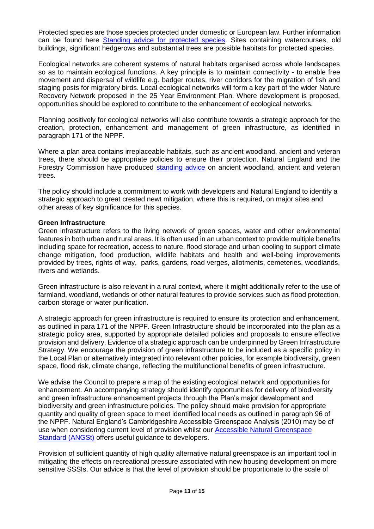Protected species are those species protected under domestic or European law. Further information can be found here [Standing advice for protected species.](https://www.gov.uk/guidance/protected-species-and-sites-how-to-review-planning-proposals) Sites containing watercourses, old buildings, significant hedgerows and substantial trees are possible habitats for protected species.

Ecological networks are coherent systems of natural habitats organised across whole landscapes so as to maintain ecological functions. A key principle is to maintain connectivity - to enable free movement and dispersal of wildlife e.g. badger routes, river corridors for the migration of fish and staging posts for migratory birds. Local ecological networks will form a key part of the wider Nature Recovery Network proposed in the 25 Year Environment Plan. Where development is proposed, opportunities should be explored to contribute to the enhancement of ecological networks.

Planning positively for ecological networks will also contribute towards a strategic approach for the creation, protection, enhancement and management of green infrastructure, as identified in paragraph 171 of the NPPF.

Where a plan area contains irreplaceable habitats, such as ancient woodland, ancient and veteran trees, there should be appropriate policies to ensure their protection. Natural England and the Forestry Commission have produced [standing advice](https://www.gov.uk/ancient-woodland-and-veteran-trees-protection-surveys-licences) on ancient woodland, ancient and veteran trees.

The policy should include a commitment to work with developers and Natural England to identify a strategic approach to great crested newt mitigation, where this is required, on major sites and other areas of key significance for this species.

#### **Green Infrastructure**

Green infrastructure refers to the living network of green spaces, water and other environmental features in both urban and rural areas. It is often used in an urban context to provide multiple benefits including space for recreation, access to nature, flood storage and urban cooling to support climate change mitigation, food production, wildlife habitats and health and well-being improvements provided by trees, rights of way, parks, gardens, road verges, allotments, cemeteries, woodlands, rivers and wetlands.

Green infrastructure is also relevant in a rural context, where it might additionally refer to the use of farmland, woodland, wetlands or other natural features to provide services such as flood protection, carbon storage or water purification.

A strategic approach for green infrastructure is required to ensure its protection and enhancement, as outlined in para 171 of the NPPF. Green Infrastructure should be incorporated into the plan as a strategic policy area, supported by appropriate detailed policies and proposals to ensure effective provision and delivery. Evidence of a strategic approach can be underpinned by Green Infrastructure Strategy. We encourage the provision of green infrastructure to be included as a specific policy in the Local Plan or alternatively integrated into relevant other policies, for example biodiversity, green space, flood risk, climate change, reflecting the multifunctional benefits of green infrastructure.

We advise the Council to prepare a map of the existing ecological network and opportunities for enhancement. An accompanying strategy should identify opportunities for delivery of biodiversity and green infrastructure enhancement projects through the Plan's major development and biodiversity and green infrastructure policies. The policy should make provision for appropriate quantity and quality of green space to meet identified local needs as outlined in paragraph 96 of the NPPF. Natural England's Cambridgeshire Accessible Greenspace Analysis (2010) may be of use when considering current level of provision whilst our [Accessible Natural Greenspace](http://webarchive.nationalarchives.gov.uk/20140605090108/http:/www.naturalengland.org.uk/regions/east_of_england/ourwork/gi/accessiblenaturalgreenspacestandardangst.aspx)  [Standard \(ANGSt\)](http://webarchive.nationalarchives.gov.uk/20140605090108/http:/www.naturalengland.org.uk/regions/east_of_england/ourwork/gi/accessiblenaturalgreenspacestandardangst.aspx) offers useful guidance to developers.

Provision of sufficient quantity of high quality alternative natural greenspace is an important tool in mitigating the effects on recreational pressure associated with new housing development on more sensitive SSSIs. Our advice is that the level of provision should be proportionate to the scale of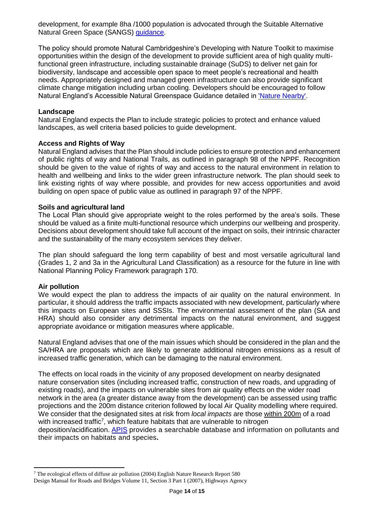development, for example 8ha /1000 population is advocated through the Suitable Alternative Natural Green Space (SANGS) [guidance.](http://www.google.co.uk/url?sa=t&rct=j&q=&esrc=s&source=web&cd=2&ved=0ahUKEwjx8--Jr8DXAhVIVhoKHQ2JBcsQFggtMAE&url=http%3A%2F%2Fwww.threerivers.gov.uk%2Fdownload%3Fid%3D23189&usg=AOvVaw0whWTqgOBjqNOCGxBNjHK-)

The policy should promote Natural Cambridgeshire's Developing with Nature Toolkit to maximise opportunities within the design of the development to provide sufficient area of high quality multifunctional green infrastructure, including sustainable drainage (SuDS) to deliver net gain for biodiversity, landscape and accessible open space to meet people's recreational and health needs. Appropriately designed and managed green infrastructure can also provide significant climate change mitigation including urban cooling. Developers should be encouraged to follow Natural England's Accessible Natural Greenspace Guidance detailed in ['Nature Nearby'.](https://webarchive.nationalarchives.gov.uk/20140605145320/http:/publications.naturalengland.org.uk/publication/40004?category=47004)

#### **Landscape**

Natural England expects the Plan to include strategic policies to protect and enhance valued landscapes, as well criteria based policies to guide development.

#### **Access and Rights of Way**

Natural England advises that the Plan should include policies to ensure protection and enhancement of public rights of way and National Trails, as outlined in paragraph 98 of the NPPF. Recognition should be given to the value of rights of way and access to the natural environment in relation to health and wellbeing and links to the wider green infrastructure network. The plan should seek to link existing rights of way where possible, and provides for new access opportunities and avoid building on open space of public value as outlined in paragraph 97 of the NPPF.

#### **Soils and agricultural land**

The Local Plan should give appropriate weight to the roles performed by the area's soils. These should be valued as a finite multi-functional resource which underpins our wellbeing and prosperity. Decisions about development should take full account of the impact on soils, their intrinsic character and the sustainability of the many ecosystem services they deliver.

The plan should safeguard the long term capability of best and most versatile agricultural land (Grades 1, 2 and 3a in the Agricultural Land Classification) as a resource for the future in line with National Planning Policy Framework paragraph 170.

#### **Air pollution**

We would expect the plan to address the impacts of air quality on the natural environment. In particular, it should address the traffic impacts associated with new development, particularly where this impacts on European sites and SSSIs. The environmental assessment of the plan (SA and HRA) should also consider any detrimental impacts on the natural environment, and suggest appropriate avoidance or mitigation measures where applicable.

Natural England advises that one of the main issues which should be considered in the plan and the SA/HRA are proposals which are likely to generate additional nitrogen emissions as a result of increased traffic generation, which can be damaging to the natural environment.

The effects on local roads in the vicinity of any proposed development on nearby designated nature conservation sites (including increased traffic, construction of new roads, and upgrading of existing roads), and the impacts on vulnerable sites from air quality effects on the wider road network in the area (a greater distance away from the development) can be assessed using traffic projections and the 200m distance criterion followed by local Air Quality modelling where required. We consider that the designated sites at risk from *local impacts* are those within 200m of a road with increased traffic<sup>7</sup>, which feature habitats that are vulnerable to nitrogen deposition/acidification. [APIS](http://www.apis.ac.uk/) provides a searchable database and information on pollutants and their impacts on habitats and species**.**

<sup>7</sup> The ecological effects of diffuse air pollution (2004) English Nature Research Report 580 Design Manual for Roads and Bridges Volume 11, Section 3 Part 1 (2007), Highways Agency